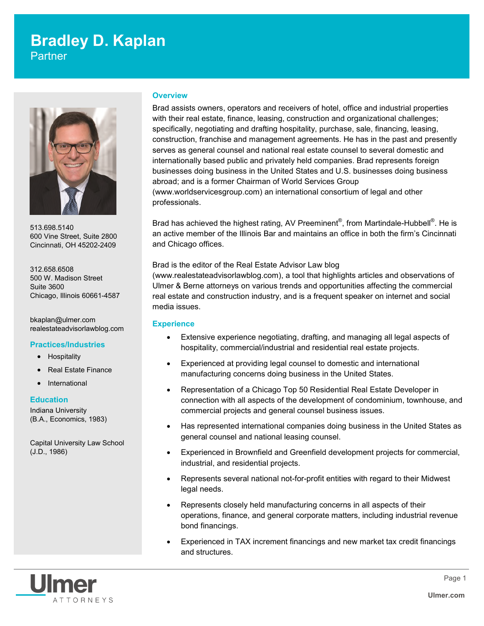# **Bradley D. Kaplan**

**Partner** 



513.698.5140 600 Vine Street, Suite 2800 Cincinnati, OH 45202-2409

312.658.6508 500 W. Madison Street Suite 3600 Chicago, Illinois 60661-4587

bkaplan@ulmer.com realestateadvisorlawblog.com

# **Practices/Industries**

- Hospitality
- Real Estate Finance
- **International**

# **Education**

Indiana University (B.A., Economics, 1983)

Capital University Law School (J.D., 1986)

# **Overview**

Brad assists owners, operators and receivers of hotel, office and industrial properties with their real estate, finance, leasing, construction and organizational challenges; specifically, negotiating and drafting hospitality, purchase, sale, financing, leasing, construction, franchise and management agreements. He has in the past and presently serves as general counsel and national real estate counsel to several domestic and internationally based public and privately held companies. Brad represents foreign businesses doing business in the United States and U.S. businesses doing business abroad; and is a former Chairman of World Services Group (www.worldservicesgroup.com) an international consortium of legal and other professionals.

Brad has achieved the highest rating, AV Preeminent®, from Martindale-Hubbell®. He is an active member of the Illinois Bar and maintains an office in both the firm's Cincinnati and Chicago offices.

Brad is the editor of the Real Estate Advisor Law blog (www.realestateadvisorlawblog.com), a tool that highlights articles and observations of Ulmer & Berne attorneys on various trends and opportunities affecting the commercial real estate and construction industry, and is a frequent speaker on internet and social media issues.

# **Experience**

- Extensive experience negotiating, drafting, and managing all legal aspects of hospitality, commercial/industrial and residential real estate projects.
- Experienced at providing legal counsel to domestic and international manufacturing concerns doing business in the United States.
- Representation of a Chicago Top 50 Residential Real Estate Developer in connection with all aspects of the development of condominium, townhouse, and commercial projects and general counsel business issues.
- Has represented international companies doing business in the United States as general counsel and national leasing counsel.
- Experienced in Brownfield and Greenfield development projects for commercial, industrial, and residential projects.
- Represents several national not-for-profit entities with regard to their Midwest legal needs.
- Represents closely held manufacturing concerns in all aspects of their operations, finance, and general corporate matters, including industrial revenue bond financings.
- Experienced in TAX increment financings and new market tax credit financings and structures.